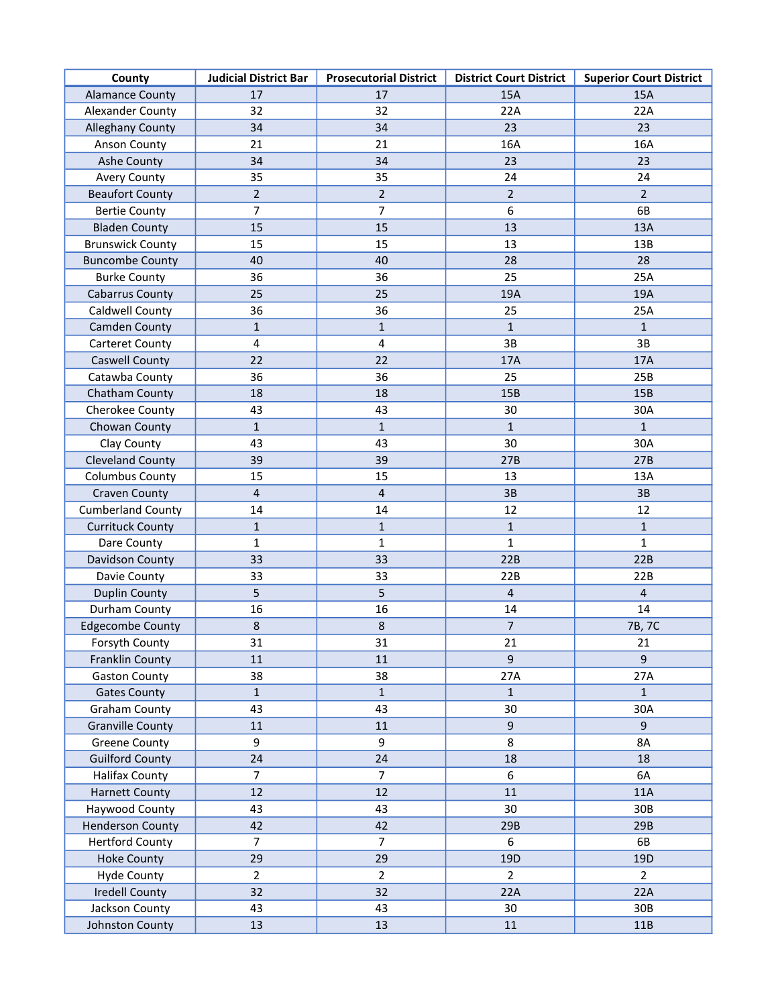| County                   | <b>Judicial District Bar</b> | <b>Prosecutorial District</b> | <b>District Court District</b> | <b>Superior Court District</b> |
|--------------------------|------------------------------|-------------------------------|--------------------------------|--------------------------------|
| <b>Alamance County</b>   | 17                           | 17                            | 15A                            | 15A                            |
| <b>Alexander County</b>  | 32                           | 32                            | 22A                            | 22A                            |
| <b>Alleghany County</b>  | 34                           | 34                            | 23                             | 23                             |
| Anson County             | 21                           | 21                            | 16A                            | 16A                            |
| <b>Ashe County</b>       | 34                           | 34                            | 23                             | 23                             |
| <b>Avery County</b>      | 35                           | 35                            | 24                             | 24                             |
| <b>Beaufort County</b>   | $\overline{2}$               | $\overline{2}$                | $\overline{2}$                 | $\overline{2}$                 |
| <b>Bertie County</b>     | 7                            | $\overline{7}$                | 6                              | 6B                             |
| <b>Bladen County</b>     | 15                           | 15                            | 13                             | 13A                            |
| <b>Brunswick County</b>  | 15                           | 15                            | 13                             | 13B                            |
| <b>Buncombe County</b>   | 40                           | 40                            | 28                             | 28                             |
| <b>Burke County</b>      | 36                           | 36                            | 25                             | 25A                            |
| <b>Cabarrus County</b>   | 25                           | 25                            | 19A                            | 19A                            |
| Caldwell County          | 36                           | 36                            | 25                             | 25A                            |
| Camden County            | $\mathbf{1}$                 | $\mathbf{1}$                  | $\mathbf{1}$                   | $\mathbf{1}$                   |
| <b>Carteret County</b>   | 4                            | 4                             | 3B                             | 3B                             |
| Caswell County           | 22                           | 22                            | 17A                            | 17A                            |
| Catawba County           | 36                           | 36                            | 25                             | 25B                            |
| Chatham County           | 18                           | 18                            | 15B                            | 15B                            |
| Cherokee County          | 43                           | 43                            | 30                             | 30A                            |
| Chowan County            | $\mathbf{1}$                 | $\mathbf{1}$                  | $\mathbf{1}$                   | $\mathbf{1}$                   |
| Clay County              | 43                           | 43                            | 30                             | 30A                            |
| <b>Cleveland County</b>  | 39                           | 39                            | 27B                            | 27B                            |
| <b>Columbus County</b>   | 15                           | 15                            | 13                             | 13A                            |
| <b>Craven County</b>     | $\overline{4}$               | $\overline{4}$                | 3B                             | 3B                             |
| <b>Cumberland County</b> | 14                           | 14                            | 12                             | 12                             |
| <b>Currituck County</b>  | $\mathbf{1}$                 | $\mathbf{1}$                  | $\mathbf{1}$                   | $\mathbf{1}$                   |
| Dare County              | 1                            | $\mathbf{1}$                  | 1                              | 1                              |
| Davidson County          | 33                           | 33                            | 22B                            | 22B                            |
| Davie County             | 33                           | 33                            | 22B                            | 22B                            |
| <b>Duplin County</b>     | 5                            | 5                             | $\overline{\mathbf{4}}$        | $\overline{4}$                 |
| Durham County            | 16                           | 16                            | 14                             | 14                             |
| <b>Edgecombe County</b>  | $\,8\,$                      | $\,8\,$                       | $\overline{7}$                 | 7B, 7C                         |
| Forsyth County           | 31                           | 31                            | 21                             | 21                             |
| Franklin County          | 11                           | $11\,$                        | 9                              | $\overline{9}$                 |
| <b>Gaston County</b>     | 38                           | 38                            | 27A                            | 27A                            |
| <b>Gates County</b>      | $\mathbf{1}$                 | $\mathbf{1}$                  | $\mathbf{1}$                   | $\mathbf{1}$                   |
| <b>Graham County</b>     | 43                           | 43                            | 30                             | 30A                            |
| <b>Granville County</b>  | 11                           | 11                            | 9                              | 9                              |
| <b>Greene County</b>     | 9                            | 9                             | 8                              | <b>8A</b>                      |
| <b>Guilford County</b>   | 24                           | 24                            | 18                             | 18                             |
| <b>Halifax County</b>    | $\overline{7}$               | $\overline{7}$                | 6                              | 6A                             |
| <b>Harnett County</b>    | 12                           | 12                            | 11                             | 11A                            |
| Haywood County           | 43                           | 43                            | 30                             | 30B                            |
| <b>Henderson County</b>  | 42                           | 42                            | 29B                            | 29B                            |
| <b>Hertford County</b>   | $\overline{7}$               | $\overline{7}$                | 6                              | 6B                             |
| <b>Hoke County</b>       | 29                           | 29                            | 19D                            | 19 <sub>D</sub>                |
| <b>Hyde County</b>       | $\overline{2}$               | $\overline{2}$                | $\overline{2}$                 | $\overline{2}$                 |
| <b>Iredell County</b>    | 32                           | 32                            | 22A                            | 22A                            |
| Jackson County           | 43                           | 43                            | 30                             | 30B                            |
| Johnston County          | 13                           | 13                            | 11                             | 11B                            |